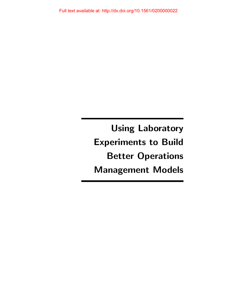Using Laboratory Experiments to Build Better Operations Management Models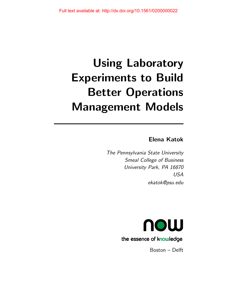# Using Laboratory Experiments to Build Better Operations Management Models

# Elena Katok

The Pennsylvania State University Smeal College of Business University Park, PA 16870 USA ekatok@psu.edu



Boston – Delft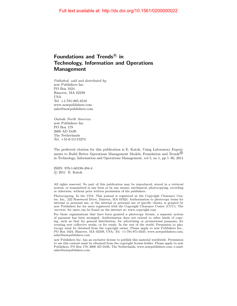### Foundations and Trends ${}^{\text{\textregistered}}$  in Technology, Information and Operations Management

Published, sold and distributed by: now Publishers Inc. PO Box 1024 Hanover, MA 02339 USA Tel. +1-781-985-4510 www.nowpublishers.com sales@nowpublishers.com

Outside North America: now Publishers Inc. PO Box 179 2600 AD Delft The Netherlands Tel. +31-6-51115274

The preferred citation for this publication is E. Katok, Using Laboratory Experiments to Build Better Operations Management Models, Foundation and Trends<sup>(B)</sup> in Technology, Information and Operations Management, vol 5, no 1, pp 1–86, 2011

ISBN: 978-1-60198-494-4 c 2011 E. Katok

All rights reserved. No part of this publication may be reproduced, stored in a retrieval system, or transmitted in any form or by any means, mechanical, photocopying, recording or otherwise, without prior written permission of the publishers.

Photocopying. In the USA: This journal is registered at the Copyright Clearance Center, Inc., 222 Rosewood Drive, Danvers, MA 01923. Authorization to photocopy items for internal or personal use, or the internal or personal use of specific clients, is granted by now Publishers Inc for users registered with the Copyright Clearance Center (CCC). The 'services' for users can be found on the internet at: www.copyright.com

For those organizations that have been granted a photocopy license, a separate system of payment has been arranged. Authorization does not extend to other kinds of copying, such as that for general distribution, for advertising or promotional purposes, for creating new collective works, or for resale. In the rest of the world: Permission to photocopy must be obtained from the copyright owner. Please apply to now Publishers Inc., PO Box 1024, Hanover, MA 02339, USA; Tel. +1-781-871-0245; www.nowpublishers.com; sales@nowpublishers.com

now Publishers Inc. has an exclusive license to publish this material worldwide. Permission to use this content must be obtained from the copyright license holder. Please apply to now Publishers, PO Box 179, 2600 AD Delft, The Netherlands, www.nowpublishers.com; e-mail: sales@nowpublishers.com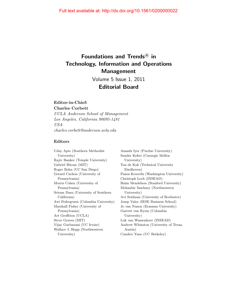# Foundations and Trends<sup>®</sup> in Technology, Information and Operations Management

Volume 5 Issue 1, 2011

### Editorial Board

### Editor-in-Chief: Charles Corbett

UCLA Anderson School of Management Los Angeles, California 90095-1481 USA charles.corbett@anderson.ucla.edu

### Editors

Uday Apte (Southern Methodist University) Rajiv Banker (Temple University) Gabriel Bitran (MIT) Roger Bohn (UC San Diego) Gerard Cachon (University of Pennsylvania) Morris Cohen (University of Pennsylvania) Sriram Dasu (University of Southern California) Awi Federgruen (Columbia University) Marshall Fisher (University of Pennsylvania) Art Geoffrion (UCLA) Steve Graves (MIT) Vijay Gurbaxani (UC Irvine) Wallace J. Hopp (Northwestern University)

Ananth Iyer (Purdue University) Sunder Kekre (Carnegie Mellon University) Ton de Kok (Technical University Eindhoven) Panos Kouvelis (Washington University) Christoph Loch (INSEAD) Haim Mendelson (Stanford University) Mohanbir Sawhney (Northwestern University) Avi Seidman (University of Rochester) Josep Valor (IESE Business School) Jo van Nunen (Erasmus University) Garrett van Ryzin (Columbia University) Luk van Wassenhove (INSEAD) Andrew Whinston (University of Texas, Austin) Candice Yano (UC Berkeley)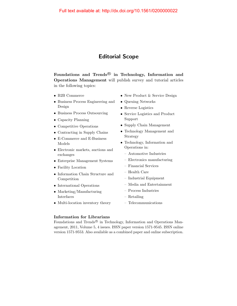## Editorial Scope

Foundations and Trends $^{\circledR}$  in Technology, Information and Operations Management will publish survey and tutorial articles in the following topics:

- B2B Commerce
- Business Process Engineering and Design
- Business Process Outsourcing
- Capacity Planning
- Competitive Operations
- Contracting in Supply Chains
- E-Commerce and E-Business Models
- Electronic markets, auctions and exchanges
- Enterprise Management Systems
- Facility Location
- Information Chain Structure and Competition
- International Operations
- Marketing/Manufacturing Interfaces
- Multi-location inventory theory
- New Product & Service Design
- Queuing Networks
- Reverse Logistics
- Service Logistics and Product Support
- Supply Chain Management
- Technology Management and Strategy
- Technology, Information and Operations in:
	- Automotive Industries
	- Electronics manufacturing
	- Financial Services
	- Health Care
	- Industrial Equipment
	- Media and Entertainment
	- Process Industries
	- Retailing
	- Telecommunications

### Information for Librarians

Foundations and Trends<sup>®</sup> in Technology, Information and Operations Management, 2011, Volume 5, 4 issues. ISSN paper version 1571-9545. ISSN online version 1571-9553. Also available as a combined paper and online subscription.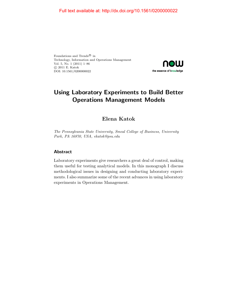Foundations and Trends $\mathcal{B}$  in Technology, Information and Operations Management Vol. 5, No. 1 (2011) 1–86 c 2011 E. Katok DOI: 10.1561/0200000022



# Using Laboratory Experiments to Build Better Operations Management Models

### Elena Katok

The Pennsylvania State University, Smeal College of Business, University Park, PA 16870, USA, ekatok@psu.edu

### Abstract

Laboratory experiments give researchers a great deal of control, making them useful for testing analytical models. In this monograph I discuss methodological issues in designing and conducting laboratory experiments. I also summarize some of the recent advances in using laboratory experiments in Operations Management.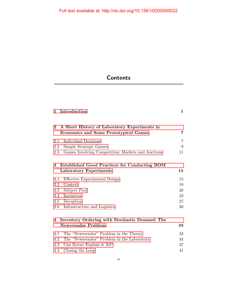# **Contents**

| Introduction<br>1                                                                                              | 1              |
|----------------------------------------------------------------------------------------------------------------|----------------|
| $\overline{2}$<br>A Short History of Laboratory Experiments in<br><b>Economics and Some Prototypical Games</b> | 7              |
| Individual Decisions<br>2.1                                                                                    | $\overline{7}$ |
| 2.2<br>Simple Strategic Games                                                                                  | 9              |
| Games Involving Competition: Markets and Auctions<br>2.3                                                       | 11             |
| 3<br><b>Established Good Practices for Conducting BOM</b>                                                      |                |
| <b>Laboratory Experiments</b>                                                                                  | 15             |
| 3.1<br>Effective Experimental Design                                                                           | 15             |
| Context<br>$3.2\,$                                                                                             | 18             |
| Subject Pool<br>3.3                                                                                            | 20             |
| Incentives<br>3.4                                                                                              | 23             |
| 3.5<br>Deception                                                                                               | 27             |
| 3.6<br>Infrastructure and Logistics                                                                            | 30             |
| Inventory Ordering with Stochastic Demand: The<br>$\overline{\mathbf{4}}$<br><b>Newsvendor Problem</b>         | 33             |
| 4.1<br>The "Newsvendor" Problem in the Theory                                                                  | 33             |
| 4.2<br>The "Newsvendor" Problem in the Laboratory                                                              | 34             |
| 4.3<br>Can Errors Explain it All?                                                                              | 37             |
| Closing the Loop<br>4.4                                                                                        | 41             |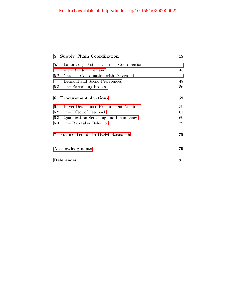| 5.                                        | <b>Supply Chain Coordination</b>                               | 45       |
|-------------------------------------------|----------------------------------------------------------------|----------|
| $5.1\,$                                   | Laboratory Tests of Channel Coordination<br>with Random Demand | 45       |
| 5.2                                       | Channel Coordination with Deterministic                        |          |
| 5.3                                       | Demand and Social Preferences<br>The Bargaining Process        | 48<br>56 |
| 6                                         | <b>Procurement Auctions</b>                                    | 59       |
| 6.1                                       | <b>Buyer-Determined Procurement Auctions</b>                   | 59       |
| 6.2                                       | The Effect of Feedback                                         | 61       |
| 6.3                                       | Qualification Screening and Incumbency                         | 69       |
| 6.4                                       | The Bid-Taker Behavior                                         | 72       |
| <b>Future Trends in BOM Research</b><br>7 |                                                                | 75       |
|                                           | Acknowledgments                                                |          |
|                                           | References                                                     |          |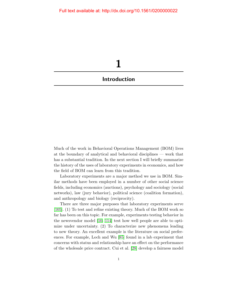<span id="page-8-0"></span>

Much of the work in Behavioral Operations Management (BOM) lives at the boundary of analytical and behavioral disciplines — work that has a substantial tradition. In the next section I will briefly summarize the history of the uses of laboratory experiments in economics, and how the field of BOM can learn from this tradition.

Laboratory experiments are a major method we use in BOM. Similar methods have been employed in a number of other social science fields, including economics (auctions), psychology and sociology (social networks), law (jury behavior), political science (coalition formation), and anthropology and biology (reciprocity).

There are three major purposes that laboratory experiments serve [\[105\]](#page-19-0). (1) To test and refine existing theory. Much of the BOM work so far has been on this topic. For example, experiments testing behavior in the newsvendor model [\[10,](#page-14-0) [114\]](#page-19-1) test how well people are able to optimize under uncertainty. (2) To characterize new phenomena leading to new theory. An excellent example is the literature on social preferences. For example, Loch and Wu [\[85\]](#page-18-0) found in a lab experiment that concerns with status and relationship have an effect on the performance of the wholesale price contract. Cui et al. [\[28\]](#page-15-0) develop a fairness model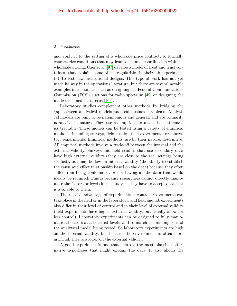### 2 Introduction

and apply it to the setting of a wholesale price contract, to formally characterize conditions that may lead to channel coordination with the wholesale pricing. Ozer et al.  $[97]$  develop a model of trust and trustworthiness that explains some of the regularities in their lab experiment. (3) To test new institutional designs. This type of work has not yet made its way in the operations literature, but there are several notable examples in economics, such as designing the Federal Communications Commission (FCC) auctions for radio spectrum [\[49\]](#page-16-0) or designing the market for medical interns [\[103\]](#page-19-2).

Laboratory studies complement other methods by bridging the gap between analytical models and real business problems. Analytical models are built to be parsimonious and general, and are primarily normative in nature. They use assumptions to make the mathematics tractable. These models can be tested using a variety of empirical methods, including surveys, field studies, field experiments, or laboratory experiments. Empirical methods, are by their nature, descriptive. All empirical methods involve a trade-off between the internal and the external validity. Surveys and field studies that use secondary data have high external validity (they are close to the real settings being studied), but may be low on internal validity (the ability to establish the cause and effect relationship based on the data) because they often suffer from being confounded, or not having all the data that would ideally be required. This is because researchers cannot directly manipulate the factors or levels in the study  $-$  they have to accept data that is available to them.

The relative advantage of experiments is control. Experiments can take place in the field or in the laboratory, and field and lab experiments also differ in their level of control and in their level of external validity (field experiments have higher external validity, but usually allow for less control). Laboratory experiments can be designed to fully manipulate all factors at all desired levels, and to match the assumptions of the analytical model being tested. So laboratory experiments are high on the internal validity, but because the environment is often more artificial, they are lower on the external validity.

A good experiment is one that controls the most plausible alternative hypotheses that might explain the data. It also allows the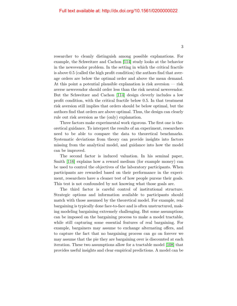researcher to cleanly distinguish among possible explanations. For example, the Schweitzer and Cachon [\[114\]](#page-19-1) study looks at the behavior in the newsvendor problem. In the setting in which the critical fractile is above 0.5 (called the high profit condition) the authors find that average orders are below the optimal order and above the mean demand. At this point a potential plausible explanation is risk aversion — risk averse newsvendor should order less than the risk neutral newsvendor. But the Schweitzer and Cachon [\[114\]](#page-19-1) design cleverly includes a low profit condition, with the critical fractile below 0.5. In that treatment risk aversion still implies that orders should be below optimal, but the authors find that orders are above optimal. Thus, the design can clearly rule out risk aversion as the (only) explanation.

Three factors make experimental work rigorous. The first one is theoretical guidance. To interpret the results of an experiment, researchers need to be able to compare the data to theoretical benchmarks. Systematic deviations from theory can provide insights into factors missing from the analytical model, and guidance into how the model can be improved.

The second factor is induced valuation. In his seminal paper, Smith [\[116\]](#page-19-3) explains how a reward medium (for example money) can be used to control the objectives of the laboratory participants. When participants are rewarded based on their performance in the experiment, researchers have a cleaner test of how people pursue their goals. This test is not confounded by not knowing what those goals are.

The third factor is careful control of institutional structure. Strategic options and information available to participants should match with those assumed by the theoretical model. For example, real bargaining is typically done face-to-face and is often unstructured, making modeling bargaining extremely challenging. But some assumptions can be imposed on the bargaining process to make a model tractable, while still capturing some essential features of real bargaining. For example, bargainers may assume to exchange alternating offers, and to capture the fact that no bargaining process can go on forever we may assume that the pie they are bargaining over is discounted at each iteration. These two assumptions allow for a tractable model [\[108\]](#page-19-4) that provides useful insights and clear empirical predictions. A model can be

3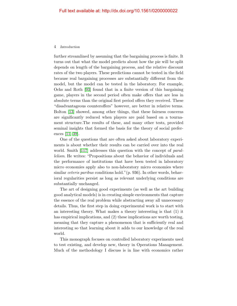### 4 Introduction

further streamlined by assuming that the bargaining process is finite. It turns out that what the model predicts about how the pie will be split depends on length of the bargaining process, and the relative discount rates of the two players. These predictions cannot be tested in the field because real bargaining processes are substantially different from the model, but the model can be tested in the laboratory. For example, Ochs and Roth [\[93\]](#page-18-2) found that in a finite version of this bargaining game, players in the second period often make offers that are less in absolute terms than the original first period offers they received. These "disadvantageous counteroffers" however, are better in relative terms. Bolton [\[13\]](#page-14-1) showed, among other things, that these fairness concerns are significantly reduced when players are paid based on a tournament structure.The results of these, and many other tests, provided seminal insights that formed the basis for the theory of social preferences [\[11,](#page-14-2) [39\]](#page-15-1).

One of the questions that are often asked about laboratory experiments is about whether their results can be carried over into the real world. Smith [\[117\]](#page-20-0) addresses this question with the concept of *paral*lelism. He writes: "Propositions about the behavior of individuals and the performance of institutions that have been tested in laboratory micro economies apply also to non-laboratory micro economies where similar *ceteris paribus* conditions hold." (p. 936). In other words, behavioral regularities persist as long as relevant underlying conditions are substantially unchanged.

The art of designing good experiments (as well as the art building good analytical models) is in creating simple environments that capture the essence of the real problem while abstracting away all unnecessary details. Thus, the first step in doing experimental work is to start with an interesting theory. What makes a theory interesting is that (1) it has empirical implications, and (2) these implications are worth testing, meaning that they capture a phenomenon that is sufficiently real and interesting so that learning about it adds to our knowledge of the real world.

This monograph focuses on controlled laboratory experiments used to test existing, and develop new, theory in Operations Management. Much of the methodology I discuss is in line with economics rather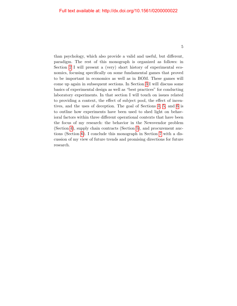than psychology, which also provide a valid and useful, but different, paradigm. The rest of this monograph is organized as follows: in Section [2](#page--1-0) I will present a (very) short history of experimental economics, focusing specifically on some fundamental games that proved to be important in economics as well as in BOM. These games will come up again in subsequent sections. In Section [3](#page--1-0) I will discuss some basics of experimental design as well as "best practices" for conducting laboratory experiments. In that section I will touch on issues related to providing a context, the effect of subject pool, the effect of incentives, and the uses of deception. The goal of Sections [4, 5,](#page--1-0) and [6](#page--1-0) is to outline how experiments have been used to shed light on behavioral factors within three different operational contexts that have been the focus of my research: the behavior in the Newsvendor problem (Section [4\)](#page--1-0), supply chain contracts (Section [5\)](#page--1-0), and procurement auctions (Section [6\)](#page--1-0). I conclude this monograph in Section [7](#page--1-0) with a discussion of my view of future trends and promising directions for future research.

5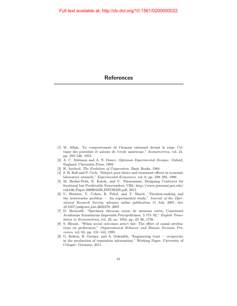- <span id="page-13-0"></span>[1] M. Allais, "Le comportement de l'homme rationnel devant le risqe: Critique des postulats et axioms de l'ecole americane," Econometrica, vol. 21, pp. 503–546, 1953.
- [2] A. C. Atkinson and A. N. Donev, Optimum Experimental Designs. Oxford, England: Clarendon Press, 1992.
- [3] R. Axelrod, The Evolution of Cooperation. Basic Books, 1984.
- [4] S. B. Ball and P. Cech, "Subject pool choice and treatment effects in economic laboratory research," Experimental Economics, vol. 6, pp. 239–292, 1996.
- [5] M. Becker-Peth, E. Katok, and U. Thonemann, Designing Contracts for Irrational but Predictable Newsvendors, URL: http://www.personal.psu.edu/ exk106/Paper 090904MB INFORMS.pdf, 2011.
- [6] U. Benzion, Y. Cohen, R. Peled, and T. Shavit, "Decision-making and the newsvendor problem  $-$  An experimental study," Journal of the Operational Research Society, advance online publication 11 July 2007, doi: 10.1057/palgrave.jors.2602470, 2007.
- [7] D. Bernoulli, "Specimen theoroae novae de mensura sortis, Comentarii Academiae Scientiarum Imperialis Petropolitanae, 5 175–92," English Translation in Econometrica, vol. 22, no. 1954, pp. 23–36, 1738.
- [8] S. Blount, "When social outcomes aren't fair: The effect of causal attributions on preferences," Organizational Behavior and Human Decision Processes, vol. 63, pp. 131–144, 1995.
- [9] G. Bolton, B. Greiner, and A. Ockenfels, "Engineering trust reciprocity in the production of reputation information," Working Paper, University of Cologne, Germany, 2011.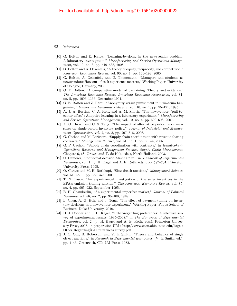- <span id="page-14-0"></span>[10] G. Bolton and E. Katok, "Learning-by-doing in the newsvendor problem: A laboratory investigation," Manufacturing and Service Operations Management, vol. 10, no. 3, pp. 519–538, 2008.
- <span id="page-14-2"></span>[11] G. Bolton and A. Ockenfels, "A theory of equity, reciprocity, and competition," American Economics Review, vol. 90, no. 1, pp. 166–193, 2000.
- [12] G. Bolton, A. Ockenfels, and U. Thonemann, "Managers and students as newsvendors: How out-of-task experience matters," Working Paper, University of Cologne, Germany, 2008.
- <span id="page-14-1"></span>[13] G. E. Bolton, "A comparative model of bargaining: Theory and evidence," The American Economic Review, American Economic Association, vol. 81, no. 5, pp. 1096–1136, December 1991.
- [14] G. E. Bolton and Z. Rami, "Anonymity versus punishment in ultimatum bargaining," Games and Economic Behavior, vol. 10, no. 1, pp. 95–121, 1995.
- [15] A. J. A. Bostian, C. A. Holt, and A. M. Smith, "The newsvendor "pull-tocenter effect": Adaptive learning in a laboratory experiment," Manufacturing and Service Operations Management, vol. 10, no. 4, pp. 590–608, 2007.
- [16] A. O. Brown and C. S. Tang, "The impact of alternative performance measures on single-period inventory policy," Journal of Industrial and Management Optimization, vol. 2, no. 3, pp. 297–318, 2006.
- [17] G. Cachon and M. Lariviere, "Supply chain coordination with revenue sharing contracts," Management Science, vol. 51, no. 1, pp. 30–44, 2005.
- [18] G. P. Cachon, "Supply chain coordination with contracts," in Handbooks in Operations Research and Management Science: Supply Chain Management, Chapter 6, (S. Graves and T. de Kok, eds.), North-Holland, 2003.
- [19] C. Camerer, "Individual decision Making," in The Handbook of Experimental Economics, vol. 1, (J. H. Kagel and A. E. Roth, eds.), pp. 587–704, Princeton University Press, 1995.
- [20] O. Carare and M. H. Rothkopf, "Slow dutch auctions," Management Science, vol. 51, no. 3, pp. 365–373, 2005.
- [21] T. N. Cason, "An experimental investigation of the seller incentives in the EPA's emission trading auction," The American Economic Review, vol. 85, no. 4, pp. 905–922, September 1995.
- [22] E. H. Chamberlin, "An experimental imperfect market," Journal of Political Economy, vol. 56, no. 2, pp. 95–108, 1948.
- [23] L. Chen, A. G. Kok, and J. Tong, "The effect of payment timing on inventory decisions in a newsvendor experiment," Working Paper, Fuqua School of Business, Duke University, 2010.
- [24] D. J. Cooper and J. H. Kagel, "Other-regarding preferences: A selective survey of experimental results, 1995–2008," in The Handbook of Experimental Economics, vol. 2, (J. H. Kagel and A. E. Roth, eds.), Princeton University Press, 2008. in preparation URL: http://www.econ.ohio-state.edu/kagel/ Other Regarding%20Preferences survey.pdf.
- [25] J. C. Cox, B. Roberson, and V. L. Smith, "Theory and behavior of single object auctions," in Research in Experimental Economics, (V. L. Smith, ed.), pp. 1–43, Greenwich, CT: JAI Press, 1982.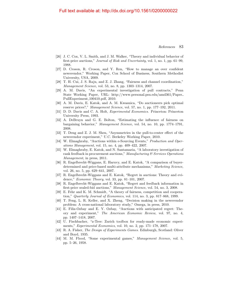- [26] J. C. Cox, V. L. Smith, and J. M. Walker, "Theory and individual behavior of first-price auctions," Journal of Risk and Uncertainty, vol. 1, no. 1, pp. 61–99, 1988.
- [27] D. Croson, R. Croson, and Y. Ren, "How to manage an over confident newsvendor," Working Paper, Cox School of Business, Southern Methodist University, USA, 2009.
- <span id="page-15-0"></span>[28] T. H. Cui, J. S. Raju, and Z. J. Zhang, "Fairness and channel coordination," Management Science, vol. 53, no. 8, pp. 1303–1314, 2007.
- [29] A. M. Davis, "An experimental investigation of pull contracts," Penn State Working Paper, URL: http://www.personal.psu.edu/amd361/Paper PullExperiment 100410.pdf, 2010.
- [30] A. M. Davis, E. Katok, and A. M. Kwasnica, "Do auctioneers pick optimal reserve prices?," Management Science, vol. 57, no. 1, pp. 177–192, 2011.
- [31] D. D. Davis and C. A. Holt, *Experimental Economics*. Princeton: Princeton University Press, 1993.
- [32] A. DeBruyn and G. E. Bolton, "Estimating the influence of fairness on bargaining behavior," Management Science, vol. 54, no. 10, pp. 1774–1791, 2008.
- [33] T. Deng and Z. J. M. Shen, "Asymmetries in the pull-to-center effect of the newsvendor experiment," U.C. Berkeley Working Paper, 2010.
- [34] W. Elmaghraby, "Auctions within e-Sourcing Events," Production and Operations Management, vol. 15, no. 4, pp. 409–422, 2007.
- [35] W. Elmaghraby, E. Katok, and N. Santamaria, "A laboratory investigation of rank feedback in procurement auctions," Manufacturing & Services Operations Management, in press, 2011.
- [36] R. Engelbrecht-Wiggans, E. Haruvy, and E. Katok, "A comparison of buyerdetermined and price-based multi-attribute mechanisms," Marketing Science, vol. 26, no. 5, pp. 629–641, 2007.
- [37] R. Engelbrecht-Wiggans and E. Katok, "Regret in auctions: Theory and evidence," Economic Theory, vol. 33, pp. 81–101, 2007.
- [38] R. Engelbrecht-Wiggans and E. Katok, "Regret and feedback information in first-price sealed-bid auctions," Management Science, vol. 54, no. 3, 2008.
- <span id="page-15-1"></span>[39] E. Fehr and K. M. Schmidt, "A theory of fairness, competition and cooperation," Quarterly Journal of Economics, vol. 114, no. 3, pp. 817–868, 1999.
- [40] T. Feng, L. R. Keller, and X. Zheng, "Decision making in the newsvendor problem: A cross-national laboratory study," Omega, in press, 2010.
- [41] E. Filiz-Ozbay and E. Y. Ozbay, "Auctions with anticipated regret: Theory and experiment," The American Economic Review, vol. 97, no. 4, pp. 1407–1418, 2007.
- [42] U. Fischbacher, "z-Tree: Zurich toolbox for ready-made economic experiments," Experimental Economics, vol. 10, no. 2, pp. 171–178, 2007.
- [43] R. A. Fisher, The Design of Experiments Games. Edinburgh, Scotland: Oliver and Boyd, 1935.
- [44] M. M. Flood, "Some experimental games," Management Science, vol. 5, pp. 5–26, 1958.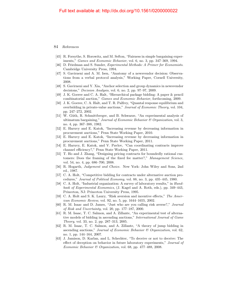- [45] R. Forsythe, S. Horowitz, and M. Sefton, "Fairness in simple bargaining experiments," Games and Economic Behavior, vol. 6, no. 3, pp. 347–369, 1994.
- [46] D. Friedman and S. Sunder, Experimental Methods: A Primer for Economists. Cambridge University Press, 1994.
- [47] S. Gavirneni and A. M. Isen, "Anatomy of a newsvendor decision: Observations from a verbal protocol analysis," Working Paper, Cornell University, 2008.
- [48] S. Gavirneni and Y. Xia, "Anchor selection and group dynamics in newsvendor decisions," Decision Analysis, vol. 6, no. 2, pp. 97–97, 2009.
- <span id="page-16-0"></span>[49] J. K. Goeree and C. A. Halt, "Hierarchical package bidding: A paper & pencil combinatorial auction," Games and Economic Behavior, forthcoming, 2009.
- [50] J. K. Goeree, C. A. Halt, and T. R. Palfrey, "Quantal response equilibrium and overbidding in private-value auctions," Journal of Economic Theory, vol. 104, pp. 247–272, 2002.
- [51] W. Güth, R. Schmittberger, and B. Schwarze, "An experimental analysis of ultimatum bargaining," Journal of Economic Behavior  $\mathcal C$  Organization, vol. 3, no. 4, pp. 367–388, 1982.
- [52] E. Haruvy and E. Katok, "Increasing revenue by decreasing information in procurement auctions," Penn State Working Paper, 2010.
- [53] E. Haruvy and E. Katok, "Increasing revenue by decreasing information in procurement auctions," Penn State Working Paper, 2011.
- [54] E. Haruvy, E. Katok, and V. Pavlov, "Can coordinating contracts improve channel efficiency?," Penn State Working Paper, 2011.
- [55] T. Ho and J. Zhang, "Designing pricing contracts for boundedly rational customers: Does the framing of the fixed fee matter?," Management Science, vol. 54, no. 4, pp. 686–700, 2008.
- [56] R. Hogarth, Judgement and Choice. New York: John Wiley and Sons, 2nd ed., 1987.
- [57] C. A. Holt, "Competitive bidding for contracts under alternative auction procedures," Journal of Political Economy, vol. 88, no. 3, pp. 435–445, 1980.
- [58] C. A. Holt, "Industrial organization: A survey of laboratory results," in Handbook of Experimental Economics, (J. Kagel and A. Roth, eds.), pp. 349–443, Princeton, NJ: Princeton University Press, 1995.
- [59] C. A. Holt and S. K. Laury, "Risk aversion and incentive effects," The American Economic Review, vol. 92, no. 5, pp. 1644–1655, 2002.
- [60] R. M. Isaac and D. James, "Just who are you calling risk averse?," Journal of Risk and Uncertainty, vol. 20, pp. 177–187, 2000.
- [61] R. M. Isaac, T. C. Salmon, and A. Zillante, "An experimental test of alternative models of bidding in ascending auctions," International Journal of Game Theory, vol. 33, no. 2, pp. 287–313, 2005.
- [62] R. M. Isaac, T. C. Salmon, and A. Zillante, "A theory of jump bidding in ascending auctions," Journal of Economic Behavior & Organization, vol. 62, no. 1, pp. 144–164, 2007.
- [63] J. Jamison, D. Karlan, and L. Schechter, "To deceive or not to deceive: The effect of deception on behavior in future laboratory experiments," Journal of Economic Behavior & Organization, vol. 68, pp. 477–488, 2008.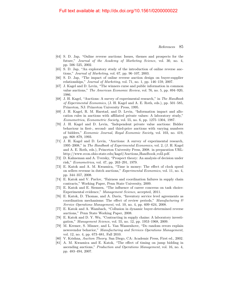- [64] S. D. Jap, "Online reverse auctions: Issues, themes and prospects for the future," Journal of the Academy of Marketing Science, vol. 30, no. 4, pp. 506–525, 2002.
- [65] S. D. Jap, "An exploratory study of the introduction of online reverse auctions," Journal of Marketing, vol. 67, pp. 96–107, 2003.
- [66] S. D. Jap, "The impact of online reverse auction design on buyer-supplier relationships," Journal of Marketing, vol. 71, no. 1, pp. 146–159, 2007.
- [67] J. Kagel and D. Levin, "The winners curse and public information in common value auctions," The American Economic Review, vol. 76, no. 5, pp. 894–920, 1986.
- [68] J. H. Kagel, "Auctions: A survey of experimental research," in The Handbook of Experimental Economics, (J. H. Kagel and A. E. Roth, eds.), pp. 501–585, Princeton, NJ: Princeton University Press, 1995.
- [69] J. H. Kagel, R. M. Harstad, and D. Levin, "Information impact and allocation rules in auctions with affiliated private values: A laboratory study," Econometrica, Econometric Society, vol. 55, no. 6, pp. 1275–1304, 1987.
- [70] J. H. Kagel and D. Levin, "Independent private value auctions: Bidder behaviour in first-, second- and third-price auctions with varying numbers of bidders," Economic Journal, Royal Economic Society, vol. 103, no. 419, pp. 868–879, 1993.
- [71] J. H. Kagel and D. Levin, "Auctions: A survey of experimental research, 1995–2008," in The Handbook of Experimental Economics, vol. 2, (J. H. Kagel and A. E. Roth, eds.), Princeton University Press, 2008. in preparation URL: http://www.econ.ohio-state.edu/kagel/Auctions Handbook vol2.pdf.
- [72] D. Kahneman and A. Tversky, "Prospect theory: An analysis of decision under risk," Econometrica, vol. 47, pp. 263–291, 1979.
- [73] E. Katok and A. M. Kwasnica, "Time is money: The effect of clock speed on sellers revenue in dutch auctions," Experimental Economics, vol. 11, no. 4, pp. 344–357, 2008.
- [74] E. Katok and V. Pavlov, "Fairness and coordination failures in supply chain contracts," Working Paper, Penn State University, 2009.
- [75] E. Katok and E. Siemsen, "The influence of career concerns on task choice: Experimental evidence," Management Science, accepted, 2011.
- [76] E. Katok, D. Thomas, and A. Davis, "Inventory service level agreements as coordination mechanisms: The effect of review periods," Manufacturing  $\mathcal{L}$ Service Operations Management, vol. 10, no. 4, pp. 609–624, 2008.
- [77] E. Katok and A. Wambach, "Collusion in dynamic buyer-determined reverse auctions," Penn State Working Paper, 2008.
- [78] E. Katok and D. Y. Wu, "Contracting in supply chains: A laboratory investigation," Management Science, vol. 55, no. 12, pp. 1953–1968, 2009.
- [79] M. Kremer, S. Minner, and L. Van Wassenhove, "Do random errors explain newsvendor behavior," Manufacturing and Services Operations Management, vol. 12, no. 4, pp. 673–681, Fall 2010.
- [80] V. Krishna, Auction Theory. San Diego, CA: Academic Press, First ed., 2002.
- [81] A. M. Kwasnica and E. Katok, "The effect of timing on jump bidding in ascending auctions," Production and Operations Management, vol. 16, no. 4, pp. 483–494, 2007.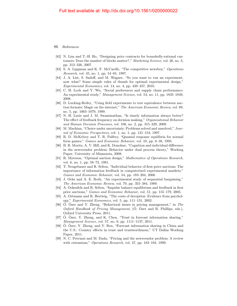- [82] N. Lim and T.-H. Ho, "Designing price contracts for boundedly-rational customers: Does the number of blocks matter?," Marketing Science, vol. 26, no. 3, pp. 312–326, 2007.
- [83] S. A. Lippman and K. F. McCardle, "The competitive newsboy," Operations Research, vol. 45, no. 1, pp. 54–65, 1997.
- [84] J. A. List, S. Sadoff, and M. Wagner, "So you want to run an experiment, now what? Some simple rules of thumb for optimal experimental design," Experimental Economics, vol. 14, no. 4, pp. 439–457, 2010.
- <span id="page-18-0"></span>[85] C. H. Loch and Y. Wu, "Social preferences and supply chain performance: An experimental study," Management Science, vol. 54, no. 11, pp. 1835–1849, 2008.
- [86] D. Lucking-Reiley, "Using field experiments to test equivalence between auction formats: Magic on the internet," The American Economic Review, vol. 89, no. 5, pp. 1063–1079, 1999.
- [87] N. H. Lurie and J. M. Swaminathan, "Is timely information always better? The effect of feedback frequency on decision making," Organizational Behavior and Human Decision Processes, vol. 108, no. 2, pp. 315–329, 2009.
- [88] M. Machina, "Choice under uncertainty: Problems solved and unsolved," Journal of Economic Perspectives, vol. 1, no. 1, pp. 121–154, 1997.
- [89] R. D. McKelvey and T. R. Palfrey, "Quantal response equilibria for normal form games," Games and Economic Behavior, vol. 10, pp. 6–38, 1995.
- [90] B. B. Moritz, A. V. Hill, and K. Donohue, "Cognition and individual difference in the newsvendor problem: Behavior under dual process theory," Working Paper, University of Minnesota, 2008.
- [91] R. Myerson, "Optimal auction design," Mathematics of Operations Research, vol. 6, no. 1, pp. 58–73, 1981.
- [92] T. Neugebauer and R. Selten, "Individual behavior of first-price auctions: The importance of information feedback in computerized experimental markets," Games and Economic Behavior, vol. 54, pp. 183–204, 2006.
- <span id="page-18-2"></span>[93] J. Ochs and A. E. Roth, "An experimental study of sequential bargaining," The American Economic Review, vol. 79, pp. 355–384, 1989.
- [94] A. Ockenfels and R. Selten, "Impulse balance equilibrium and feedback in first price auctions," Games and Economic Behavior, vol. 51, pp. 155–179, 2005.
- [95] A. Ortmann and R. Hertwig, "The costs of deception: Evidence from psychology," Experimental Economics, vol. 5, pp. 111–131, 2002.
- [96] O. Ozer and Y. Zheng, "Behavioral issues in pricing management," in The Oxford Handbook of Pricing Management,  $(0.$  Özer and R. Phillips, eds.), Oxford University Press, 2011.
- <span id="page-18-1"></span>[97]  $\ddot{\text{O}}$ .  $\ddot{\text{O}}$ zer, Y. Zheng, and K. Chen, "Trust in forecast information sharing," Management Science, vol. 57, no. 6, pp. 1111–1137, 2011.
- [98]  $\ddot{O}$ .  $\ddot{O}$ zer, Y. Zheng, and Y. Ren, "Forecast information sharing in China and the U.S.: Country effects in trust and trustworthiness," UT Dallas Working Paper, 2011.
- [99] N. C. Petruzzi and M. Dada, "Pricing and the newsvendor problem: A review with extensions," *Operations Research*, vol. 47, pp. 183–194, 1999.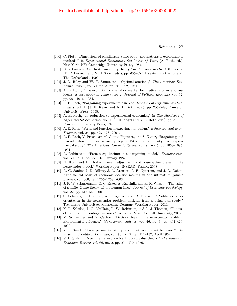- [100] C. Plott, "Dimensions of parallelism: Some policy applications of experimental methods," in Experimental Economics: Six Points of View, (A. Roth, ed.), New York, NY: Cambridge University Press, 1987.
- [101] E. L. Porteus, "Stochastic inventory theory," in Handbook in OR  $\mathcal{B}$  MS, vol. 2, (D. P. Heyman and M. J. Sobel, eds.), pp. 605–652, Elsevier, North–Holland: The Netherlands, 1990.
- [102] J. G. Riley and W. F. Samuelson, "Optimal auctions," The American Economic Review, vol. 71, no. 3, pp. 381–392, 1981.
- <span id="page-19-2"></span>[103] A. E. Roth, "The evolution of the labor market for medical interns and residents: A case study in game theory," Journal of Political Economy, vol. 92, pp. 991–1016, 1984.
- [104] A. E. Roth, "Bargaining experiments," in The Handbook of Experimental Economics, vol. 1, (J. H. Kagel and A. E. Roth, eds.), pp. 253–248, Princeton University Press, 1995.
- <span id="page-19-0"></span>[105] A. E. Roth, "Introduction to experimental economics," in The Handbook of Experimental Economics, vol. 1, (J. H. Kagel and A. E. Roth, eds.), pp. 3–109, Princeton University Press, 1995.
- [106] A. E. Roth, "Form and function in experimental design," Behavioral and Brain Sciences, vol. 24, pp. 427–428, 2001.
- [107] A. E. Roth, V. Prasnikar, M. Okuno-Fujiwara, and S. Zamir, "Bargaining and market behavior in Jerusalem, Ljubljana, Pittsburgh and Tokyo: An experimental study," The American Economic Review, vol. 81, no. 5, pp. 1068–1095, 1991.
- <span id="page-19-4"></span>[108] A. Rubinstein, "Perfect equilibrium in a bargaining model," Econometrica, vol. 50, no. 1, pp. 97–109, January 1982.
- [109] N. Rudi and D. Drake, "Level, adjustment and observation biases in the newsvendor model," Working Paper, INSEAD, France, 2008.
- [110] A. G. Sanfey, J. K. Rilling, J. A. Aronson, L. E. Nystrom, and J. D. Cohen, "The neural basis of economic decision-making in the ultimatum game," Science, vol. 300, pp. 1755–1758, 2003.
- [111] J. P. W. Scharlemann, C. C. Eckel, A. Kacelnik, and R. K. Wilson, "The value of a smile: Game theory with a human face," Journal of Economic Psychology, vol. 22, pp. 617–640, 2001.
- [112] S. Schiffels, J. Brunner, A. Fuegener, and R. Kolisch, "Profit- vs. costorientation in the newsvendor problem: Insights from a behavioral study," Technische Universitaet Muenchen, Germany Working Paper, 2011.
- [113] K. L. Schultz, J. O. McClain, L. W. Robinson, and L. J. Thomas, "The use of framing in inventory decisions," Working Paper, Cornell University, 2007.
- <span id="page-19-1"></span>[114] M. Schweitzer and G. Cachon, "Decision bias in the newsvendor problem: Experimental evidence," Management Science, vol. 46, no. 3, pp. 404–420, 2000.
- [115] V. L. Smith, "An experimental study of competitive market behavior," The Journal of Political Economy, vol. 70, no. 2, pp. 111–137, April 1962.
- <span id="page-19-3"></span>[116] V. L. Smith, "Experimental economics: Induced value theory," The American Economic Review, vol. 66, no. 2, pp. 274–279, 1976.